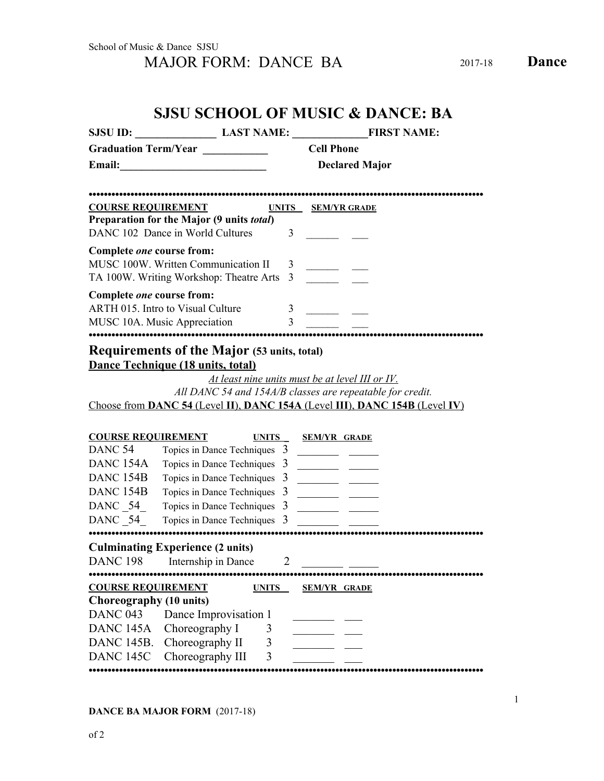1

| SJSU SCHOOL OF MUSIC & DANCE: BA |
|----------------------------------|
|----------------------------------|

**SJSU ID: \_\_\_\_\_\_\_\_\_\_\_\_\_\_\_ LAST NAME: \_\_\_\_\_\_\_\_\_\_\_\_\_\_FIRST NAME:** Graduation Term/Year **\_\_\_\_\_\_\_\_\_\_ Email:\_\_\_\_\_\_\_\_\_\_\_\_\_\_\_\_\_\_\_\_\_\_\_\_\_\_\_ Declared Major ••••••••••••••••••••••••••••••••••••••••••••••••••••••••••••••••••••••••••••••••••••••••••••••••••••••••**

| <b>COURSE REQUIREMENT</b><br>Preparation for the Major (9 units <i>total</i> )<br>DANC 102 Dance in World Cultures | UNITS  | <b>SEM/YR GRADE</b> |  |  |
|--------------------------------------------------------------------------------------------------------------------|--------|---------------------|--|--|
| Complete one course from:<br>MUSC 100W. Written Communication II<br>TA 100W. Writing Workshop: Theatre Arts 3      | 3      |                     |  |  |
| Complete one course from:<br><b>ARTH 015. Intro to Visual Culture</b><br>MUSC 10A. Music Appreciation              | 3<br>3 |                     |  |  |

## **Requirements of the Major (53 units, total) Dance Technique (18 units, total)**

*At least nine units must be at level III or IV.*

*All DANC 54 and 154A/B classes are repeatable for credit.*

Choose from **DANC 54** (Level **II**), **DANC 154A** (Level **III**), **DANC 154B** (Level **IV**)

| <b>COURSE REQUIREMENT</b> | <b>UNITS</b>                            | <b>SEM/YR GRADE</b> |  |
|---------------------------|-----------------------------------------|---------------------|--|
| DANC <sub>54</sub>        | Topics in Dance Techniques 3            |                     |  |
| DANC 154A                 | Topics in Dance Techniques 3            |                     |  |
| DANC 154B                 | Topics in Dance Techniques 3            |                     |  |
| DANC 154B                 | Topics in Dance Techniques 3            |                     |  |
| DANC 54                   | Topics in Dance Techniques 3            |                     |  |
| DANC 54                   | Topics in Dance Techniques 3            |                     |  |
|                           |                                         |                     |  |
|                           | <b>Culminating Experience (2 units)</b> |                     |  |
| <b>DANC 198</b>           | Internship in Dance                     | 2                   |  |
|                           |                                         |                     |  |
| <b>COURSE REQUIREMENT</b> | <b>UNITS</b>                            | <b>SEM/YR GRADE</b> |  |
| Choreography (10 units)   |                                         |                     |  |
| <b>DANC 043</b>           | Dance Improvisation 1                   |                     |  |
| DANC 145A                 | Choreography I<br>3                     |                     |  |
| <b>DANC 145B.</b>         | Choreography II<br>3                    |                     |  |
| DANC <sub>145C</sub>      | 3<br>Choreography III                   |                     |  |
|                           |                                         |                     |  |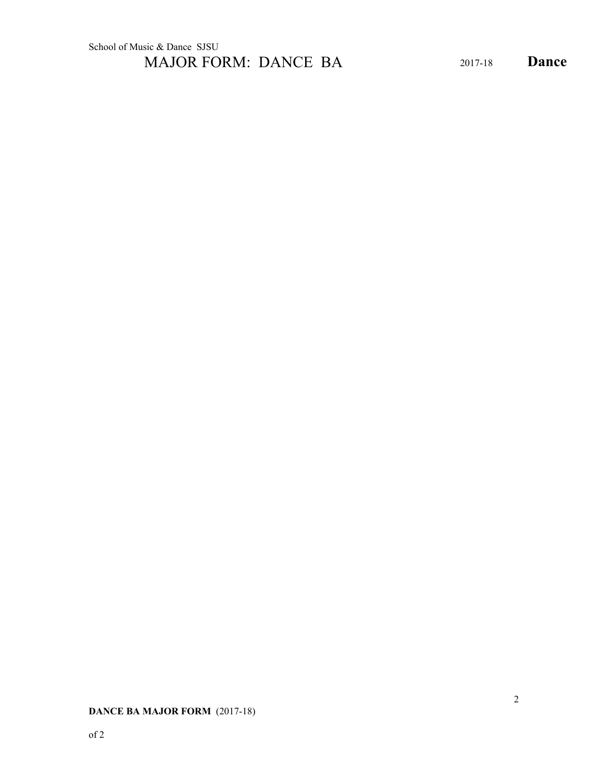## **DANCE BA MAJOR FORM** (2017-18)